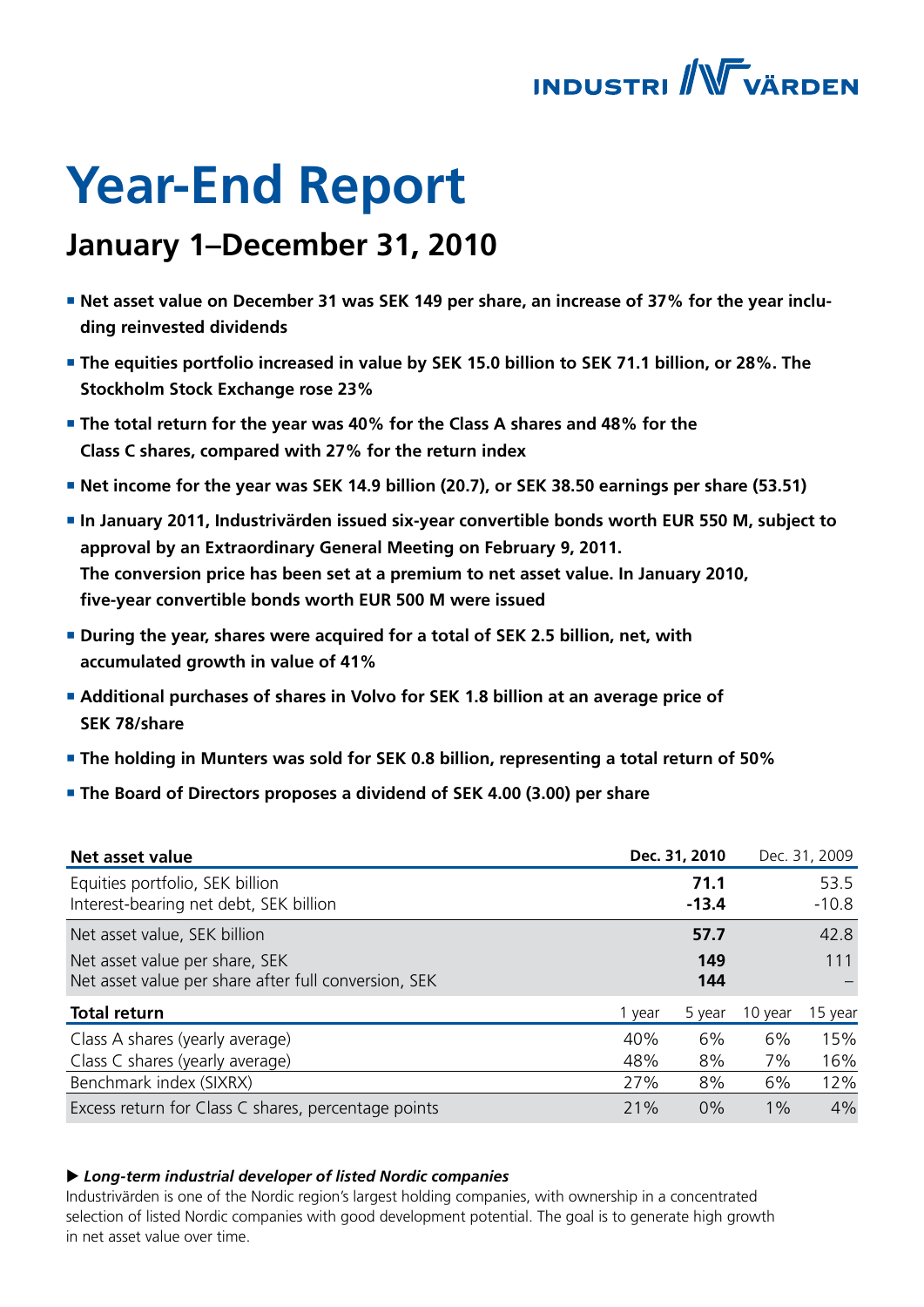

# **Year-End Report**

## **January 1–December 31, 2010**

- **Net asset value on December 31 was SEK 149 per share, an increase of 37% for the year including reinvested dividends**
- **The equities portfolio increased in value by SEK 15.0 billion to SEK 71.1 billion, or 28%. The Stockholm Stock Exchange rose 23%**
- **The total return for the year was 40% for the Class A shares and 48% for the Class C shares, compared with 27% for the return index**
- **Net income for the year was SEK 14.9 billion (20.7), or SEK 38.50 earnings per share (53.51)**
- **In January 2011, Industrivärden issued six-year convertible bonds worth EUR 550 M, subject to approval by an Extraordinary General Meeting on February 9, 2011. The conversion price has been set at a premium to net asset value. In January 2010, five-year convertible bonds worth EUR 500 M were issued**
- **During the year, shares were acquired for a total of SEK 2.5 billion, net, with accumulated growth in value of 41%**
- **Additional purchases of shares in Volvo for SEK 1.8 billion at an average price of SEK 78/share**
- **The holding in Munters was sold for SEK 0.8 billion, representing a total return of 50%**
- **The Board of Directors proposes a dividend of SEK 4.00 (3.00) per share**

| Net asset value                                                                        |        | Dec. 31, 2010   |         | Dec. 31, 2009   |
|----------------------------------------------------------------------------------------|--------|-----------------|---------|-----------------|
| Equities portfolio, SEK billion<br>Interest-bearing net debt, SEK billion              |        | 71.1<br>$-13.4$ |         | 53.5<br>$-10.8$ |
| Net asset value, SEK billion                                                           |        | 57.7            |         | 42.8            |
| Net asset value per share, SEK<br>Net asset value per share after full conversion, SEK |        | 149<br>144      |         | 111             |
| <b>Total return</b>                                                                    | 1 year | 5 year          | 10 year | 15 year         |
| Class A shares (yearly average)                                                        | 40%    | 6%              | 6%      | 15%             |
| Class C shares (yearly average)                                                        | 48%    | 8%              | 7%      | 16%             |
| Benchmark index (SIXRX)                                                                | 27%    | 8%              | 6%      | 12%             |
| Excess return for Class C shares, percentage points                                    | 21%    | 0%              | $1\%$   | 4%              |

### ▶ Long-term industrial developer of listed Nordic companies

Industrivärden is one of the Nordic region's largest holding companies, with ownership in a concentrated selection of listed Nordic companies with good development potential. The goal is to generate high growth in net asset value over time.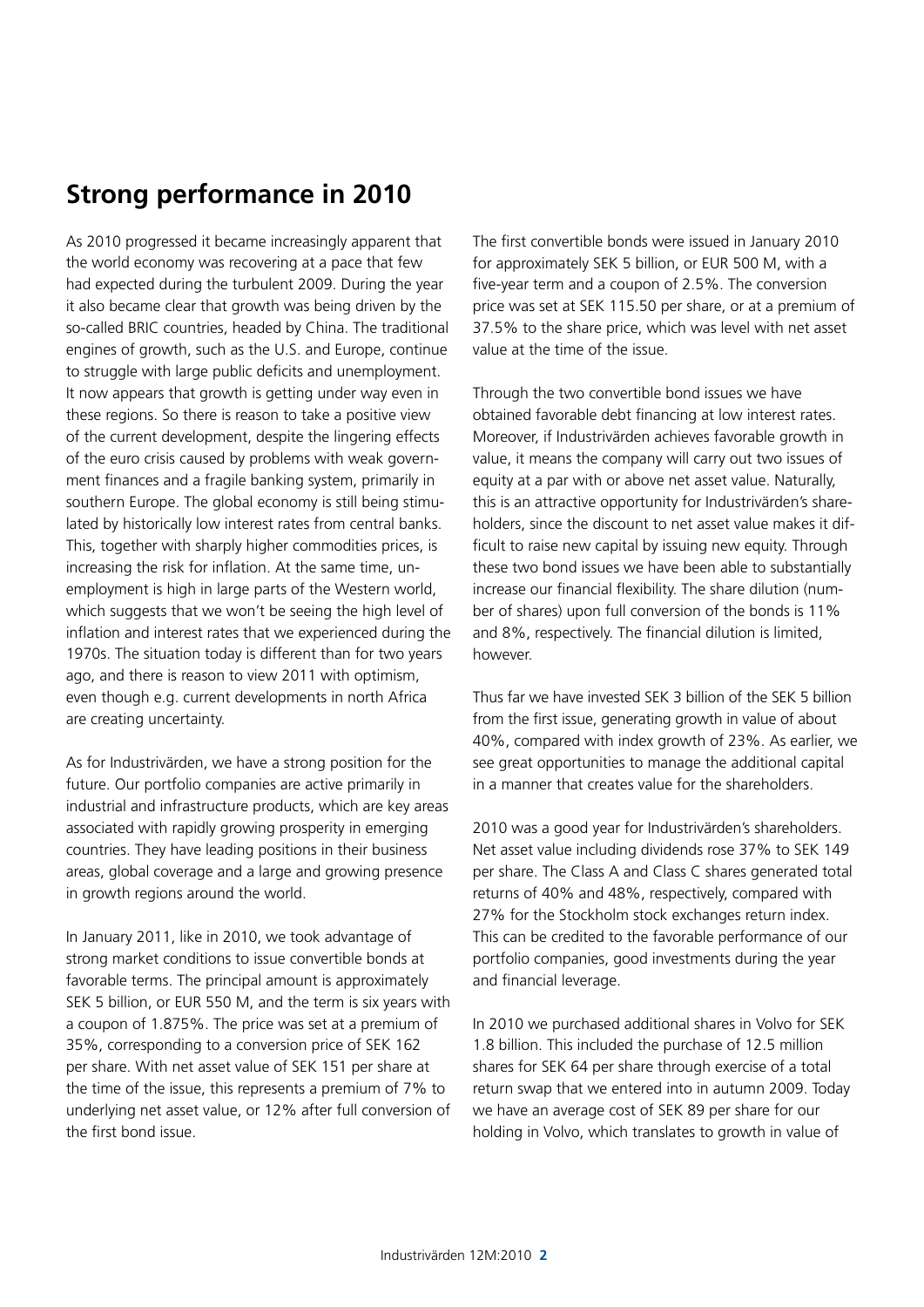## **Strong performance in 2010**

As 2010 progressed it became increasingly apparent that the world economy was recovering at a pace that few had expected during the turbulent 2009. During the year it also became clear that growth was being driven by the so-called BRIC countries, headed by China. The traditional engines of growth, such as the U.S. and Europe, continue to struggle with large public deficits and unemployment. It now appears that growth is getting under way even in these regions. So there is reason to take a positive view of the current development, despite the lingering effects of the euro crisis caused by problems with weak government finances and a fragile banking system, primarily in southern Europe. The global economy is still being stimulated by historically low interest rates from central banks. This, together with sharply higher commodities prices, is increasing the risk for inflation. At the same time, unemployment is high in large parts of the Western world, which suggests that we won't be seeing the high level of inflation and interest rates that we experienced during the 1970s. The situation today is different than for two years ago, and there is reason to view 2011 with optimism, even though e.g. current developments in north Africa are creating uncertainty.

As for Industrivärden, we have a strong position for the future. Our portfolio companies are active primarily in industrial and infrastructure products, which are key areas associated with rapidly growing prosperity in emerging countries. They have leading positions in their business areas, global coverage and a large and growing presence in growth regions around the world.

In January 2011, like in 2010, we took advantage of strong market conditions to issue convertible bonds at favorable terms. The principal amount is approximately SEK 5 billion, or EUR 550 M, and the term is six years with a coupon of 1.875%. The price was set at a premium of 35%, corresponding to a conversion price of SEK 162 per share. With net asset value of SEK 151 per share at the time of the issue, this represents a premium of 7% to underlying net asset value, or 12% after full conversion of the first bond issue.

The first convertible bonds were issued in January 2010 for approximately SEK 5 billion, or EUR 500 M, with a five-year term and a coupon of 2.5%. The conversion price was set at SEK 115.50 per share, or at a premium of 37.5% to the share price, which was level with net asset value at the time of the issue.

Through the two convertible bond issues we have obtained favorable debt financing at low interest rates. Moreover, if Industrivärden achieves favorable growth in value, it means the company will carry out two issues of equity at a par with or above net asset value. Naturally, this is an attractive opportunity for Industrivärden's shareholders, since the discount to net asset value makes it difficult to raise new capital by issuing new equity. Through these two bond issues we have been able to substantially increase our financial flexibility. The share dilution (number of shares) upon full conversion of the bonds is 11% and 8%, respectively. The financial dilution is limited, however.

Thus far we have invested SEK 3 billion of the SEK 5 billion from the first issue, generating growth in value of about 40%, compared with index growth of 23%. As earlier, we see great opportunities to manage the additional capital in a manner that creates value for the shareholders.

2010 was a good year for Industrivärden's shareholders. Net asset value including dividends rose 37% to SEK 149 per share. The Class A and Class C shares generated total returns of 40% and 48%, respectively, compared with 27% for the Stockholm stock exchanges return index. This can be credited to the favorable performance of our portfolio companies, good investments during the year and financial leverage.

In 2010 we purchased additional shares in Volvo for SEK 1.8 billion. This included the purchase of 12.5 million shares for SEK 64 per share through exercise of a total return swap that we entered into in autumn 2009. Today we have an average cost of SEK 89 per share for our holding in Volvo, which translates to growth in value of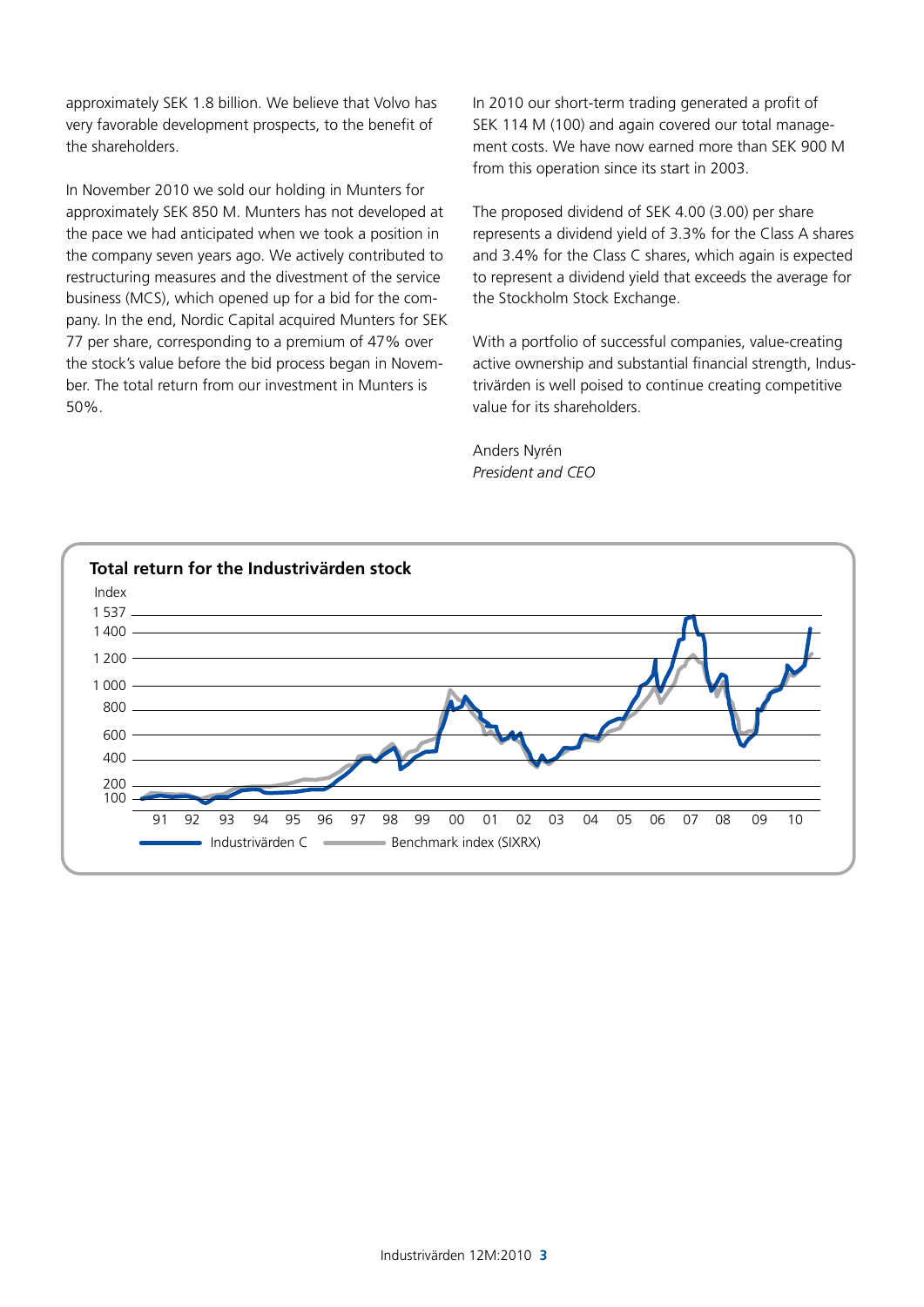approximately SEK 1.8 billion. We believe that Volvo has very favorable development prospects, to the benefit of the shareholders.

In November 2010 we sold our holding in Munters for approximately SEK 850 M. Munters has not developed at the pace we had anticipated when we took a position in the company seven years ago. We actively contributed to restructuring measures and the divestment of the service business (MCS), which opened up for a bid for the company. In the end, Nordic Capital acquired Munters for SEK 77 per share, corresponding to a premium of 47% over the stock's value before the bid process began in November. The total return from our investment in Munters is 50%.

In 2010 our short-term trading generated a profit of SEK 114 M (100) and again covered our total management costs. We have now earned more than SEK 900 M from this operation since its start in 2003.

The proposed dividend of SEK 4.00 (3.00) per share represents a dividend yield of 3.3% for the Class A shares and 3.4% for the Class C shares, which again is expected to represent a dividend yield that exceeds the average for the Stockholm Stock Exchange.

With a portfolio of successful companies, value-creating active ownership and substantial financial strength, Industrivärden is well poised to continue creating competitive value for its shareholders.

Anders Nyrén *President and CEO*

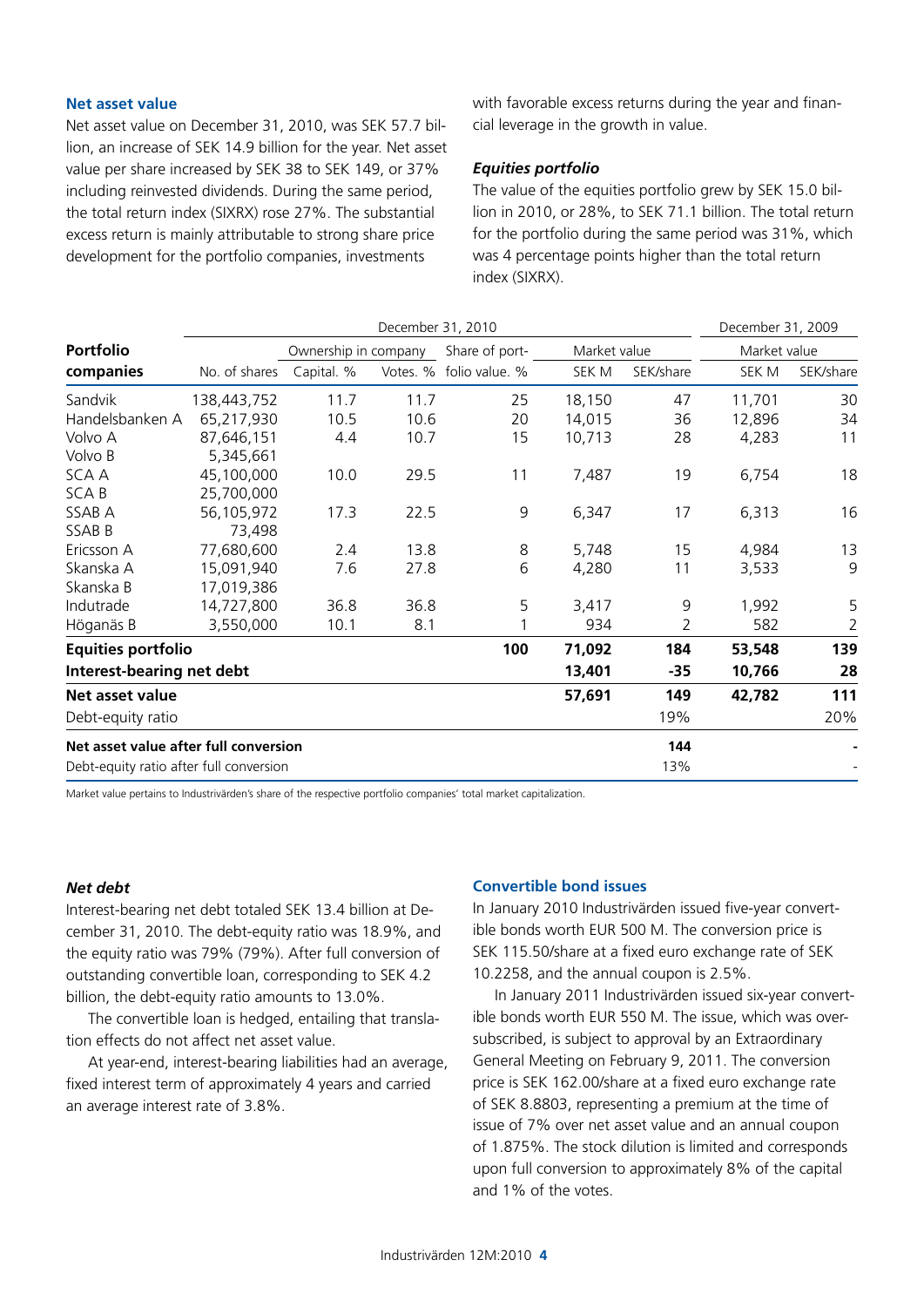#### **Net asset value**

Net asset value on December 31, 2010, was SEK 57.7 billion, an increase of SEK 14.9 billion for the year. Net asset value per share increased by SEK 38 to SEK 149, or 37% including reinvested dividends. During the same period, the total return index (SIXRX) rose 27%. The substantial excess return is mainly attributable to strong share price development for the portfolio companies, investments

with favorable excess returns during the year and financial leverage in the growth in value.

### *Equities portfolio*

The value of the equities portfolio grew by SEK 15.0 billion in 2010, or 28%, to SEK 71.1 billion. The total return for the portfolio during the same period was 31%, which was 4 percentage points higher than the total return index (SIXRX).

|                                         |               | December 31, 2010    |          |                |              |                | December 31, 2009 |                |
|-----------------------------------------|---------------|----------------------|----------|----------------|--------------|----------------|-------------------|----------------|
| <b>Portfolio</b>                        |               | Ownership in company |          | Share of port- | Market value |                | Market value      |                |
| companies                               | No. of shares | Capital. %           | Votes. % | folio value. % | SEK M        | SEK/share      | SEK M             | SEK/share      |
| Sandvik                                 | 138,443,752   | 11.7                 | 11.7     | 25             | 18,150       | 47             | 11,701            | 30             |
| Handelsbanken A                         | 65,217,930    | 10.5                 | 10.6     | 20             | 14,015       | 36             | 12,896            | 34             |
| Volvo A                                 | 87,646,151    | 4.4                  | 10.7     | 15             | 10,713       | 28             | 4,283             | 11             |
| Volvo B                                 | 5,345,661     |                      |          |                |              |                |                   |                |
| SCA A                                   | 45,100,000    | 10.0                 | 29.5     | 11             | 7,487        | 19             | 6,754             | 18             |
| <b>SCAB</b>                             | 25,700,000    |                      |          |                |              |                |                   |                |
| SSAB A                                  | 56,105,972    | 17.3                 | 22.5     | 9              | 6,347        | 17             | 6,313             | 16             |
| SSAB B                                  | 73,498        |                      |          |                |              |                |                   |                |
| Ericsson A                              | 77,680,600    | 2.4                  | 13.8     | 8              | 5,748        | 15             | 4,984             | 13             |
| Skanska A                               | 15,091,940    | 7.6                  | 27.8     | 6              | 4,280        | 11             | 3,533             | 9              |
| Skanska B                               | 17,019,386    |                      |          |                |              |                |                   |                |
| Indutrade                               | 14,727,800    | 36.8                 | 36.8     | 5              | 3,417        | 9              | 1,992             | 5              |
| Höganäs B                               | 3,550,000     | 10.1                 | 8.1      |                | 934          | $\overline{2}$ | 582               | $\overline{2}$ |
| <b>Equities portfolio</b>               |               |                      |          | 100            | 71,092       | 184            | 53,548            | 139            |
| Interest-bearing net debt               |               |                      |          |                | 13,401       | $-35$          | 10,766            | 28             |
| Net asset value                         |               |                      |          |                | 57,691       | 149            | 42,782            | 111            |
| Debt-equity ratio                       |               |                      |          |                |              | 19%            |                   | 20%            |
| Net asset value after full conversion   |               |                      |          |                |              | 144            |                   |                |
| Debt-equity ratio after full conversion |               |                      |          |                |              | 13%            |                   |                |

Market value pertains to Industrivärden's share of the respective portfolio companies' total market capitalization.

#### *Net debt*

Interest-bearing net debt totaled SEK 13.4 billion at December 31, 2010. The debt-equity ratio was 18.9%, and the equity ratio was 79% (79%). After full conversion of outstanding convertible loan, corresponding to SEK 4.2 billion, the debt-equity ratio amounts to 13.0%.

The convertible loan is hedged, entailing that translation effects do not affect net asset value.

At year-end, interest-bearing liabilities had an average, fixed interest term of approximately 4 years and carried an average interest rate of 3.8%.

### **Convertible bond issues**

In January 2010 Industrivärden issued five-year convertible bonds worth EUR 500 M. The conversion price is SEK 115.50/share at a fixed euro exchange rate of SEK 10.2258, and the annual coupon is 2.5%.

In January 2011 Industrivärden issued six-year convertible bonds worth EUR 550 M. The issue, which was oversubscribed, is subject to approval by an Extraordinary General Meeting on February 9, 2011. The conversion price is SEK 162.00/share at a fixed euro exchange rate of SEK 8.8803, representing a premium at the time of issue of 7% over net asset value and an annual coupon of 1.875%. The stock dilution is limited and corresponds upon full conversion to approximately 8% of the capital and 1% of the votes.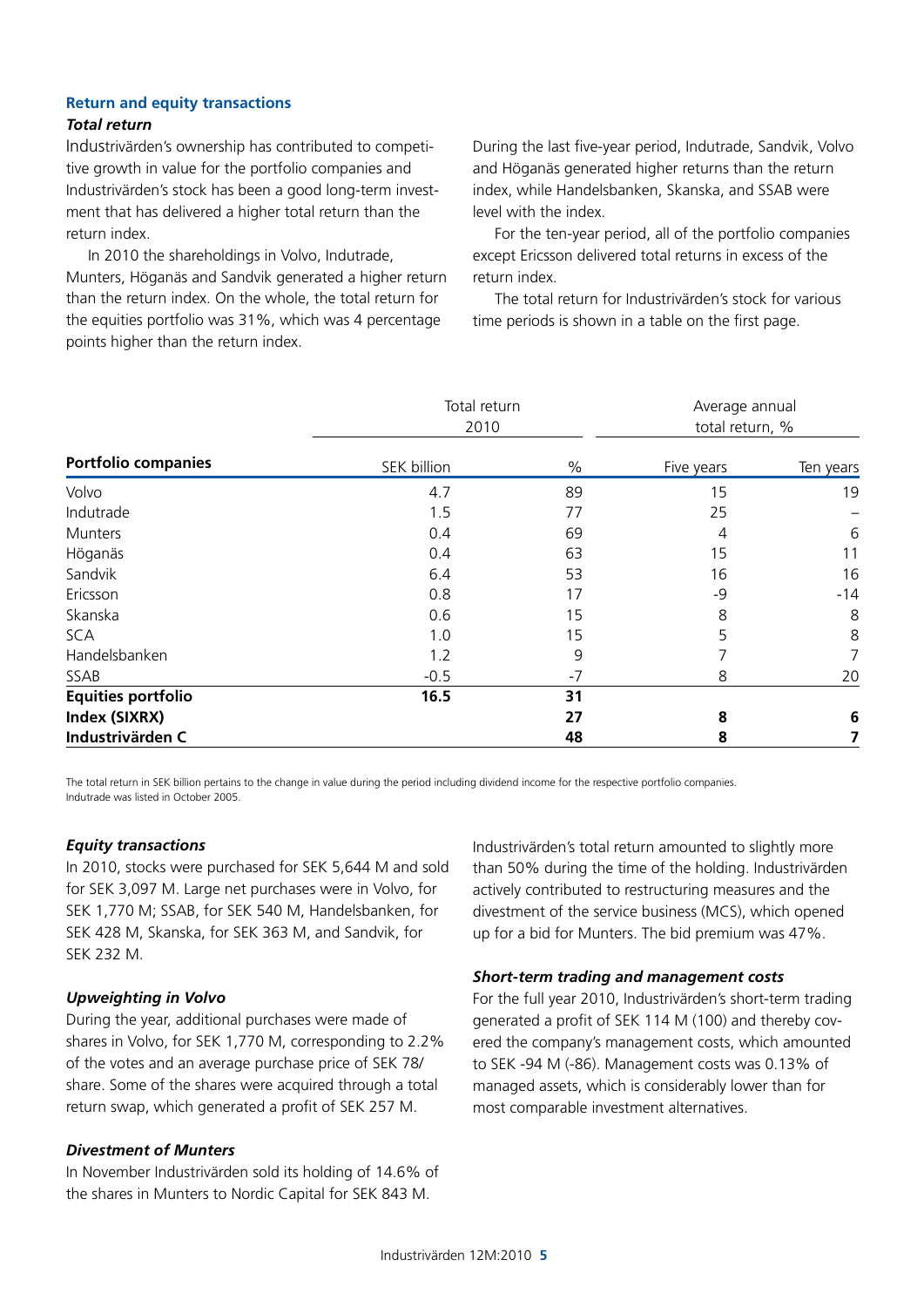### **Return and equity transactions** *Total return*

### Industrivärden's ownership has contributed to competitive growth in value for the portfolio companies and Industrivärden's stock has been a good long-term investment that has delivered a higher total return than the return index.

In 2010 the shareholdings in Volvo, Indutrade, Munters, Höganäs and Sandvik generated a higher return than the return index. On the whole, the total return for the equities portfolio was 31%, which was 4 percentage points higher than the return index.

During the last five-year period, Indutrade, Sandvik, Volvo and Höganäs generated higher returns than the return index, while Handelsbanken, Skanska, and SSAB were level with the index.

For the ten-year period, all of the portfolio companies except Ericsson delivered total returns in excess of the return index.

The total return for Industrivärden's stock for various time periods is shown in a table on the first page.

|                            | Total return<br>2010 |      | Average annual<br>total return, % |           |
|----------------------------|----------------------|------|-----------------------------------|-----------|
| <b>Portfolio companies</b> | SEK billion          | $\%$ | Five years                        | Ten years |
| Volvo                      | 4.7                  | 89   | 15                                | 19        |
| Indutrade                  | 1.5                  | 77   | 25                                |           |
| <b>Munters</b>             | 0.4                  | 69   | 4                                 | 6         |
| Höganäs                    | 0.4                  | 63   | 15                                | 11        |
| Sandvik                    | 6.4                  | 53   | 16                                | 16        |
| Ericsson                   | 0.8                  | 17   | -9                                | $-14$     |
| Skanska                    | 0.6                  | 15   | 8                                 | 8         |
| <b>SCA</b>                 | 1.0                  | 15   | 5                                 | 8         |
| Handelsbanken              | 1.2                  | 9    | 7                                 | 7         |
| SSAB                       | $-0.5$               | $-7$ | 8                                 | 20        |
| <b>Equities portfolio</b>  | 16.5                 | 31   |                                   |           |
| Index (SIXRX)              |                      | 27   | 8                                 | 6         |
| Industrivärden C           |                      | 48   | 8                                 | 7         |

The total return in SEK billion pertains to the change in value during the period including dividend income for the respective portfolio companies. Indutrade was listed in October 2005.

### *Equity transactions*

In 2010, stocks were purchased for SEK 5,644 M and sold for SEK 3,097 M. Large net purchases were in Volvo, for SEK 1,770 M; SSAB, for SEK 540 M, Handelsbanken, for SEK 428 M, Skanska, for SEK 363 M, and Sandvik, for SEK 232 M.

### *Upweighting in Volvo*

During the year, additional purchases were made of shares in Volvo, for SEK 1,770 M, corresponding to 2.2% of the votes and an average purchase price of SEK 78/ share. Some of the shares were acquired through a total return swap, which generated a profit of SEK 257 M.

### *Divestment of Munters*

In November Industrivärden sold its holding of 14.6% of the shares in Munters to Nordic Capital for SEK 843 M.

Industrivärden's total return amounted to slightly more than 50% during the time of the holding. Industrivärden actively contributed to restructuring measures and the divestment of the service business (MCS), which opened up for a bid for Munters. The bid premium was 47%.

### *Short-term trading and management costs*

For the full year 2010, Industrivärden's short-term trading generated a profit of SEK 114 M (100) and thereby covered the company's management costs, which amounted to SEK -94 M (-86). Management costs was 0.13% of managed assets, which is considerably lower than for most comparable investment alternatives.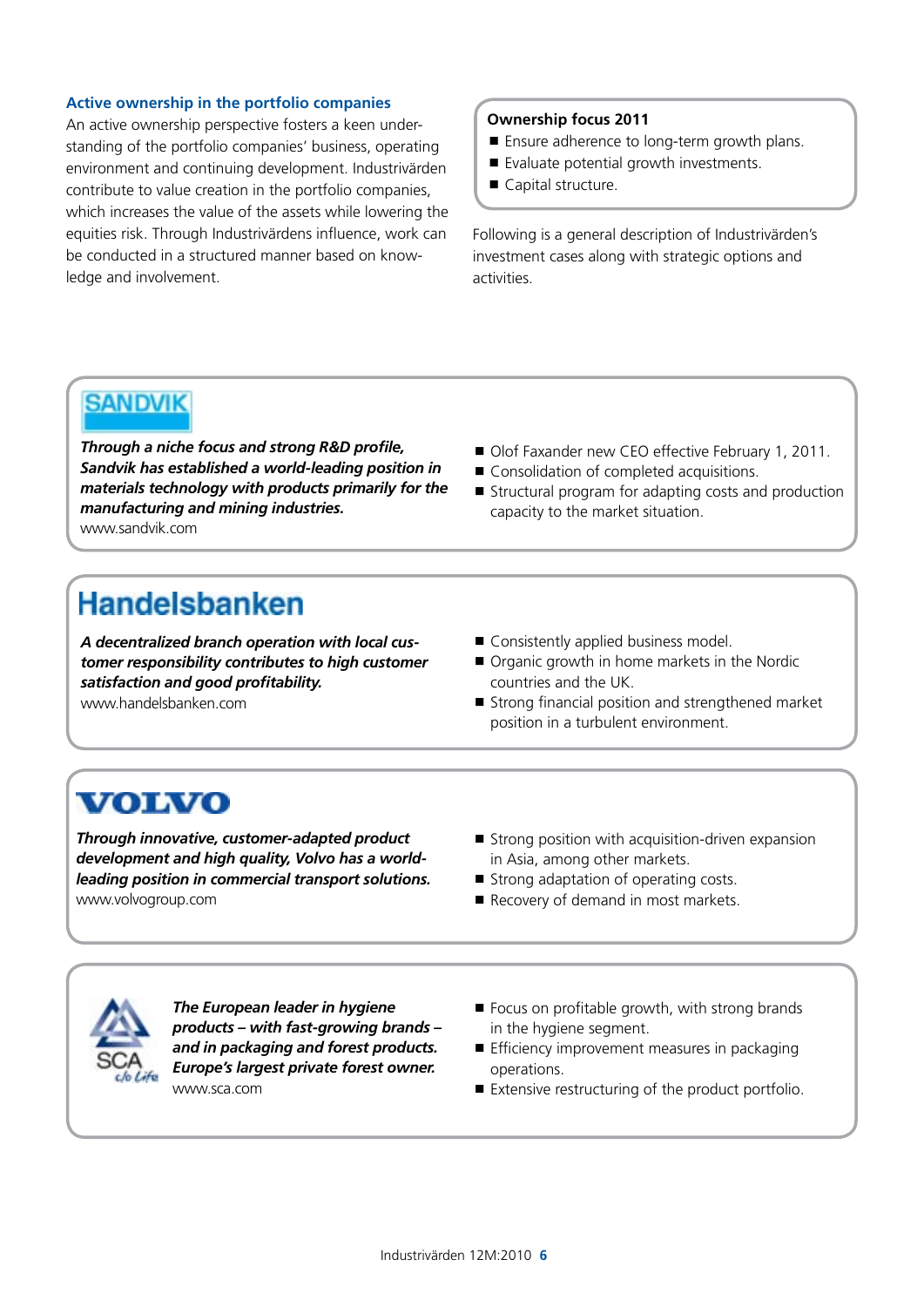### **Active ownership in the portfolio companies**

An active ownership perspective fosters a keen understanding of the portfolio companies' business, operating environment and continuing development. Industrivärden contribute to value creation in the portfolio companies, which increases the value of the assets while lowering the equities risk. Through Industrivärdens influence, work can be conducted in a structured manner based on knowledge and involvement.

### **Ownership focus 2011**

- Ensure adherence to long-term growth plans.
- Evaluate potential growth investments.
- Capital structure.

Following is a general description of Industrivärden's investment cases along with strategic options and activities.

## **SANDVIK**

*Through a niche focus and strong R&D profile, Sandvik has established a world-leading position in materials technology with products primarily for the manufacturing and mining industries.* www.sandvik.com

- Olof Faxander new CEO effective February 1, 2011.
- Consolidation of completed acquisitions.
- Structural program for adapting costs and production capacity to the market situation.

## **Handelsbanken**

*A decentralized branch operation with local customer responsibility contributes to high customer satisfaction and good profitability.* www.handelsbanken.com

- Consistently applied business model.
- Organic growth in home markets in the Nordic countries and the UK.
- Strong financial position and strengthened market position in a turbulent environment.

## **VOLVO**

*Through innovative, customer-adapted product development and high quality, Volvo has a worldleading position in commercial transport solutions.*  www.volvogroup.com

- $\blacksquare$  Strong position with acquisition-driven expansion in Asia, among other markets.
- Strong adaptation of operating costs.
- Recovery of demand in most markets.



*The European leader in hygiene products – with fast-growing brands – and in packaging and forest products. Europe's largest private forest owner.* www.sca.com

- $\blacksquare$  Focus on profitable growth, with strong brands in the hygiene segment.
- $\blacksquare$  Efficiency improvement measures in packaging operations.
- Extensive restructuring of the product portfolio.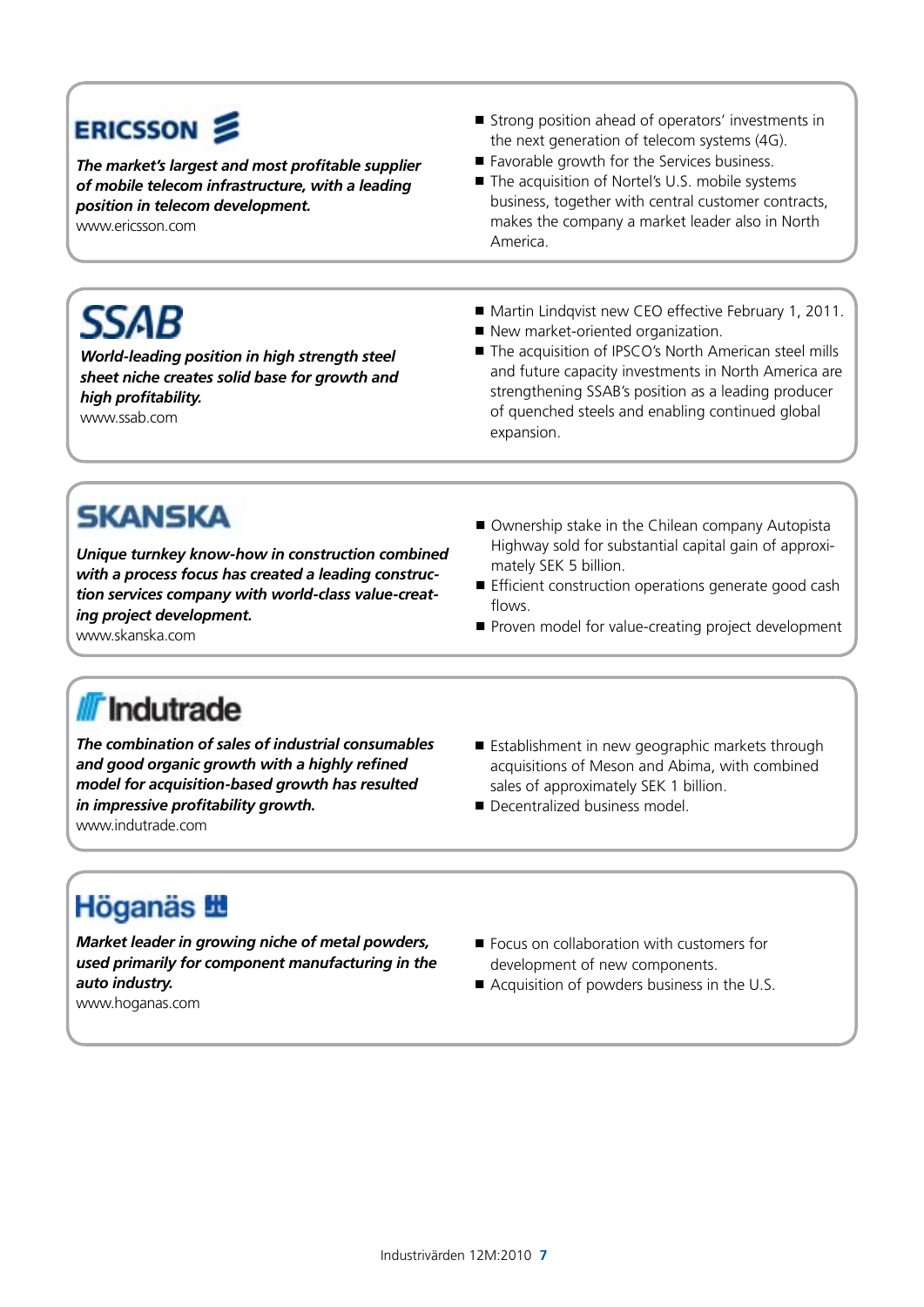# ERICSSON **S**

*The market's largest and most profitable supplier of mobile telecom infrastructure, with a leading position in telecom development.* 

*World-leading position in high strength steel sheet niche creates solid base for growth and* 

www.ericsson.com

**SSAB** 

- Strong position ahead of operators' investments in the next generation of telecom systems (4G).
- Favorable growth for the Services business.
- The acquisition of Nortel's U.S. mobile systems business, together with central customer contracts, makes the company a market leader also in North America.
- Martin Lindqvist new CEO effective February 1, 2011.
- New market-oriented organization.
- The acquisition of IPSCO's North American steel mills and future capacity investments in North America are strengthening SSAB's position as a leading producer of quenched steels and enabling continued global expansion.

# **SKANSKA**

*high profitability.* www.ssab.com

*Unique turnkey know-how in construction combined with a process focus has created a leading construction services company with world-class value-creating project development.*

www.skanska.com

- Ownership stake in the Chilean company Autopista Highway sold for substantial capital gain of approximately SEK 5 billion.
- **Efficient construction operations generate good cash** flows.
- Proven model for value-creating project development

# **/// Indutrade**

*The combination of sales of industrial consumables and good organic growth with a highly refined model for acquisition-based growth has resulted in impressive profitability growth.*

www.indutrade.com

- Establishment in new geographic markets through acquisitions of Meson and Abima, with combined sales of approximately SEK 1 billion.
- Decentralized business model.

## **Höganäs 艷**

*Market leader in growing niche of metal powders, used primarily for component manufacturing in the auto industry.*

- Focus on collaboration with customers for development of new components.
- Acquisition of powders business in the U.S.

www.hoganas.com

Industrivärden 12M:2010 **7**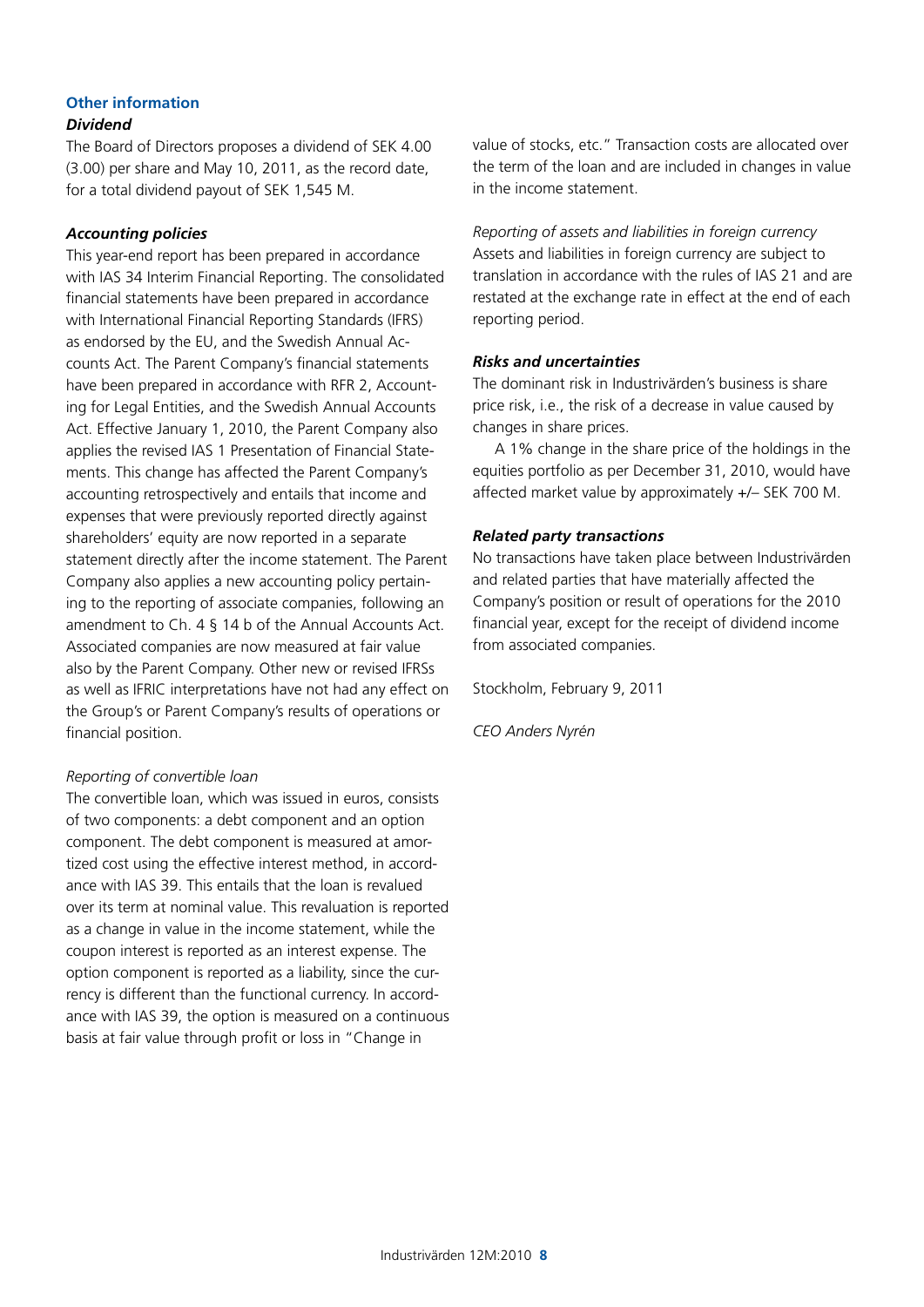## **Other information**

### *Dividend*

The Board of Directors proposes a dividend of SEK 4.00 (3.00) per share and May 10, 2011, as the record date, for a total dividend payout of SEK 1,545 M.

### *Accounting policies*

This year-end report has been prepared in accordance with IAS 34 Interim Financial Reporting. The consolidated financial statements have been prepared in accordance with International Financial Reporting Standards (IFRS) as endorsed by the EU, and the Swedish Annual Accounts Act. The Parent Company's financial statements have been prepared in accordance with RFR 2, Accounting for Legal Entities, and the Swedish Annual Accounts Act. Effective January 1, 2010, the Parent Company also applies the revised IAS 1 Presentation of Financial Statements. This change has affected the Parent Company's accounting retrospectively and entails that income and expenses that were previously reported directly against shareholders' equity are now reported in a separate statement directly after the income statement. The Parent Company also applies a new accounting policy pertaining to the reporting of associate companies, following an amendment to Ch. 4 § 14 b of the Annual Accounts Act. Associated companies are now measured at fair value also by the Parent Company. Other new or revised IFRSs as well as IFRIC interpretations have not had any effect on the Group's or Parent Company's results of operations or financial position.

### *Reporting of convertible loan*

The convertible loan, which was issued in euros, consists of two components: a debt component and an option component. The debt component is measured at amortized cost using the effective interest method, in accordance with IAS 39. This entails that the loan is revalued over its term at nominal value. This revaluation is reported as a change in value in the income statement, while the coupon interest is reported as an interest expense. The option component is reported as a liability, since the currency is different than the functional currency. In accordance with IAS 39, the option is measured on a continuous basis at fair value through profit or loss in "Change in

value of stocks, etc." Transaction costs are allocated over the term of the loan and are included in changes in value in the income statement.

*Reporting of assets and liabilities in foreign currency* Assets and liabilities in foreign currency are subject to translation in accordance with the rules of IAS 21 and are restated at the exchange rate in effect at the end of each reporting period.

### *Risks and uncertainties*

The dominant risk in Industrivärden's business is share price risk, i.e., the risk of a decrease in value caused by changes in share prices.

A 1% change in the share price of the holdings in the equities portfolio as per December 31, 2010, would have affected market value by approximately +/– SEK 700 M.

### *Related party transactions*

No transactions have taken place between Industrivärden and related parties that have materially affected the Company's position or result of operations for the 2010 financial year, except for the receipt of dividend income from associated companies.

Stockholm, February 9, 2011

*CEO Anders Nyrén*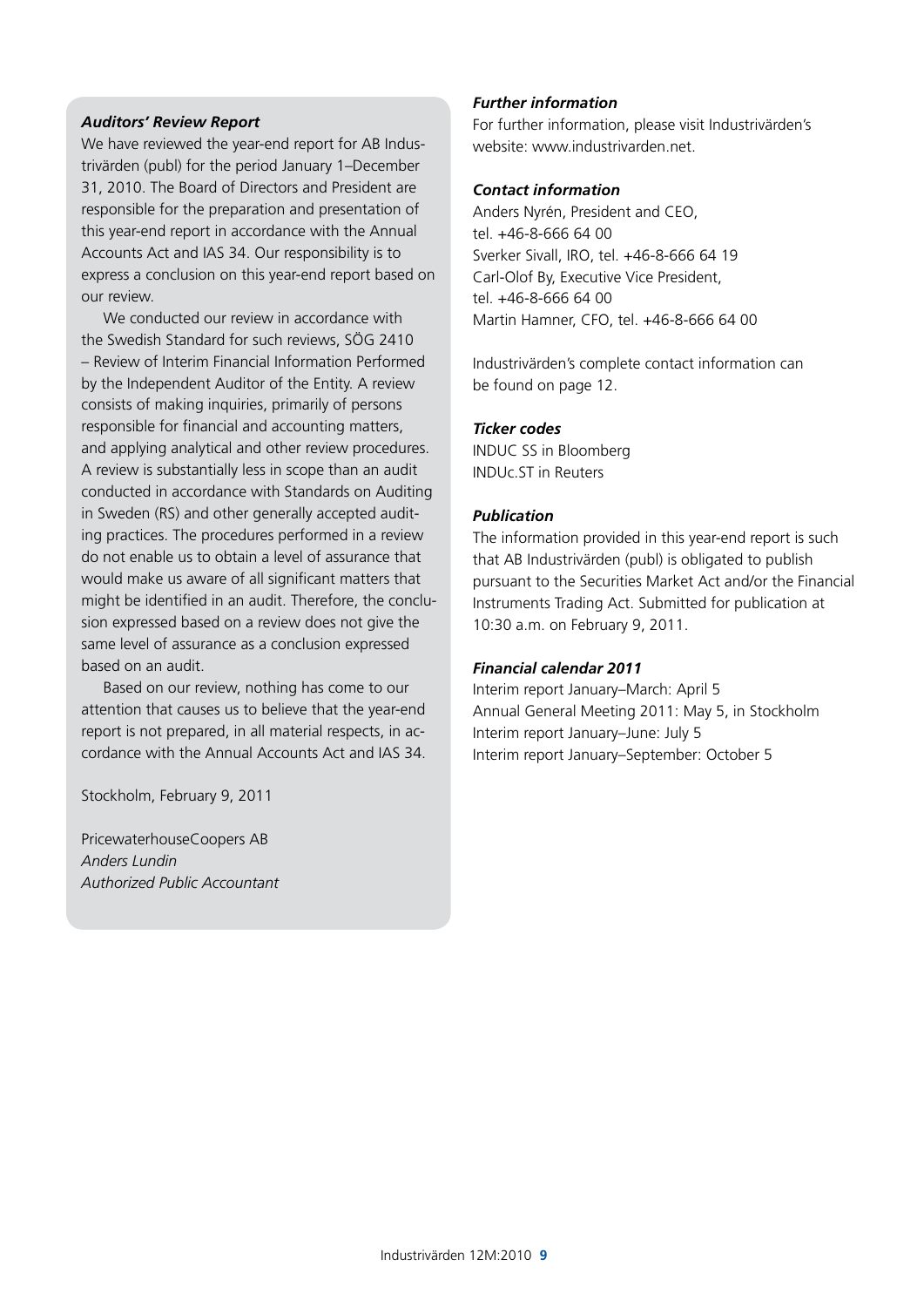### *Auditors' Review Report*

We have reviewed the year-end report for AB Industrivärden (publ) for the period January 1–December 31, 2010. The Board of Directors and President are responsible for the preparation and presentation of this year-end report in accordance with the Annual Accounts Act and IAS 34. Our responsibility is to express a conclusion on this year-end report based on our review.

We conducted our review in accordance with the Swedish Standard for such reviews, SÖG 2410 – Review of Interim Financial Information Performed by the Independent Auditor of the Entity. A review consists of making inquiries, primarily of persons responsible for financial and accounting matters, and applying analytical and other review procedures. A review is substantially less in scope than an audit conducted in accordance with Standards on Auditing in Sweden (RS) and other generally accepted auditing practices. The procedures performed in a review do not enable us to obtain a level of assurance that would make us aware of all significant matters that might be identified in an audit. Therefore, the conclusion expressed based on a review does not give the same level of assurance as a conclusion expressed based on an audit.

Based on our review, nothing has come to our attention that causes us to believe that the year-end report is not prepared, in all material respects, in accordance with the Annual Accounts Act and IAS 34.

Stockholm, February 9, 2011

PricewaterhouseCoopers AB *Anders Lundin Authorized Public Accountant*

### *Further information*

For further information, please visit Industrivärden's website: www.industrivarden.net.

### *Contact information*

Anders Nyrén, President and CEO, tel. +46-8-666 64 00 Sverker Sivall, IRO, tel. +46-8-666 64 19 Carl-Olof By, Executive Vice President, tel. +46-8-666 64 00 Martin Hamner, CFO, tel. +46-8-666 64 00

Industrivärden's complete contact information can be found on page 12.

### *Ticker codes*

INDUC SS in Bloomberg INDUc.ST in Reuters

### *Publication*

The information provided in this year-end report is such that AB Industrivärden (publ) is obligated to publish pursuant to the Securities Market Act and/or the Financial Instruments Trading Act. Submitted for publication at 10:30 a.m. on February 9, 2011.

### *Financial calendar 2011*

Interim report January–March: April 5 Annual General Meeting 2011: May 5, in Stockholm Interim report January–June: July 5 Interim report January–September: October 5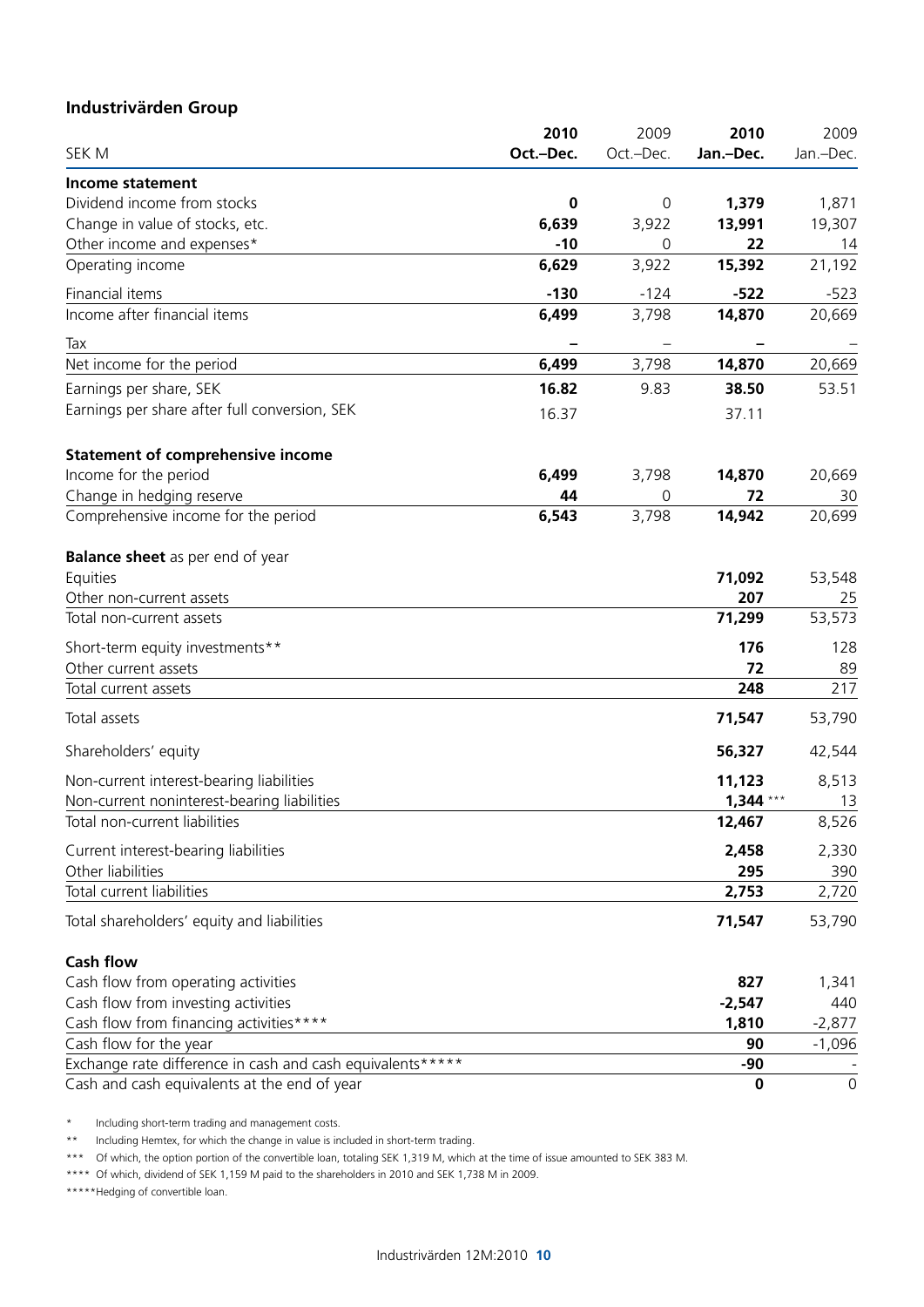### **Industrivärden Group**

|                                                            | 2010      | 2009      | 2010       | 2009        |
|------------------------------------------------------------|-----------|-----------|------------|-------------|
| SEK M                                                      | Oct.-Dec. | Oct.-Dec. | Jan.-Dec.  | Jan.-Dec.   |
| Income statement                                           |           |           |            |             |
| Dividend income from stocks                                | 0         | 0         | 1,379      | 1,871       |
| Change in value of stocks, etc.                            | 6,639     | 3,922     | 13,991     | 19,307      |
| Other income and expenses*                                 | $-10$     | 0         | 22         | 14          |
| Operating income                                           | 6,629     | 3,922     | 15,392     | 21,192      |
| Financial items                                            | $-130$    | $-124$    | $-522$     | $-523$      |
| Income after financial items                               | 6,499     | 3,798     | 14,870     | 20,669      |
| Tax                                                        |           |           |            |             |
| Net income for the period                                  | 6,499     | 3,798     | 14,870     | 20,669      |
| Earnings per share, SEK                                    | 16.82     | 9.83      | 38.50      | 53.51       |
| Earnings per share after full conversion, SEK              | 16.37     |           | 37.11      |             |
| <b>Statement of comprehensive income</b>                   |           |           |            |             |
| Income for the period                                      | 6,499     | 3,798     | 14,870     | 20,669      |
| Change in hedging reserve                                  | 44        | 0         | 72         | 30          |
| Comprehensive income for the period                        | 6,543     | 3,798     | 14,942     | 20,699      |
| <b>Balance sheet</b> as per end of year                    |           |           |            |             |
| Equities                                                   |           |           | 71,092     | 53,548      |
| Other non-current assets                                   |           |           | 207        | 25          |
| Total non-current assets                                   |           |           | 71,299     | 53,573      |
| Short-term equity investments**                            |           |           | 176        | 128         |
| Other current assets                                       |           |           | 72         | 89          |
| Total current assets                                       |           |           | 248        | 217         |
| Total assets                                               |           |           | 71,547     | 53,790      |
| Shareholders' equity                                       |           |           | 56,327     | 42,544      |
| Non-current interest-bearing liabilities                   |           |           | 11,123     | 8,513       |
| Non-current noninterest-bearing liabilities                |           |           | $1,344***$ | 13          |
| Total non-current liabilities                              |           |           | 12,467     | 8,526       |
| Current interest-bearing liabilities                       |           |           | 2,458      | 2,330       |
| Other liabilities                                          |           |           | 295        | 390         |
| Total current liabilities                                  |           |           | 2,753      | 2,720       |
| Total shareholders' equity and liabilities                 |           |           | 71,547     | 53,790      |
| <b>Cash flow</b>                                           |           |           |            |             |
| Cash flow from operating activities                        |           |           | 827        | 1,341       |
| Cash flow from investing activities                        |           |           | $-2,547$   | 440         |
| Cash flow from financing activities****                    |           |           | 1,810      | $-2,877$    |
| Cash flow for the year                                     |           |           | 90         | $-1,096$    |
| Exchange rate difference in cash and cash equivalents***** |           |           | $-90$      |             |
| Cash and cash equivalents at the end of year               |           |           | $\bf{0}$   | $\mathbf 0$ |

\* Including short-term trading and management costs.

\*\* Including Hemtex, for which the change in value is included in short-term trading.

\*\*\* Of which, the option portion of the convertible loan, totaling SEK 1,319 M, which at the time of issue amounted to SEK 383 M.

\*\*\*\* Of which, dividend of SEK 1,159 M paid to the shareholders in 2010 and SEK 1,738 M in 2009.

\*\*\*\*\*\* Hedging of convertible loan.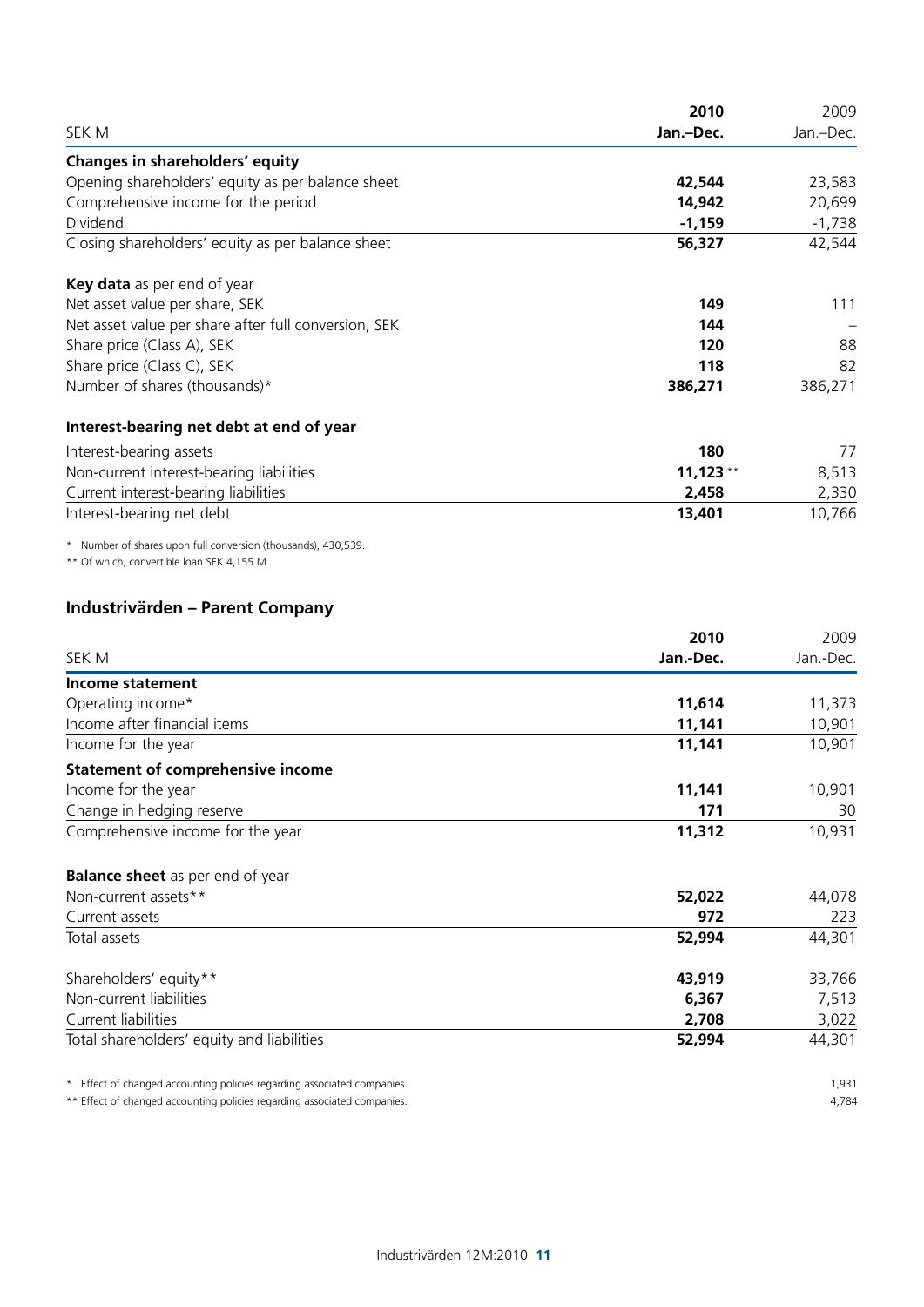|                                                      | 2010       | 2009      |
|------------------------------------------------------|------------|-----------|
| SEK M                                                | Jan.-Dec.  | Jan.-Dec. |
| Changes in shareholders' equity                      |            |           |
| Opening shareholders' equity as per balance sheet    | 42,544     | 23,583    |
| Comprehensive income for the period                  | 14,942     | 20,699    |
| Dividend                                             | $-1,159$   | $-1,738$  |
| Closing shareholders' equity as per balance sheet    | 56,327     | 42,544    |
| Key data as per end of year                          |            |           |
| Net asset value per share, SEK                       | 149        | 111       |
| Net asset value per share after full conversion, SEK | 144        |           |
| Share price (Class A), SEK                           | 120        | 88        |
| Share price (Class C), SEK                           | 118        | 82        |
| Number of shares (thousands)*                        | 386,271    | 386,271   |
| Interest-bearing net debt at end of year             |            |           |
| Interest-bearing assets                              | 180        | 77        |
| Non-current interest-bearing liabilities             | $11,123**$ | 8,513     |
| Current interest-bearing liabilities                 | 2,458      | 2,330     |
| Interest-bearing net debt                            | 13,401     | 10,766    |
|                                                      |            |           |

\* Number of shares upon full conversion (thousands), 430,539.

\*\* Of which, convertible loan SEK 4,155 M.

### **Industrivärden – Parent Company**

|                                                                          | 2010      | 2009      |
|--------------------------------------------------------------------------|-----------|-----------|
| SEK M                                                                    | Jan.-Dec. | Jan.-Dec. |
| Income statement                                                         |           |           |
| Operating income*                                                        | 11,614    | 11,373    |
| Income after financial items                                             | 11,141    | 10,901    |
| Income for the year                                                      | 11,141    | 10,901    |
| <b>Statement of comprehensive income</b>                                 |           |           |
| Income for the year                                                      | 11,141    | 10,901    |
| Change in hedging reserve                                                | 171       | 30        |
| Comprehensive income for the year                                        | 11,312    | 10,931    |
| <b>Balance sheet</b> as per end of year                                  |           |           |
| Non-current assets**                                                     | 52,022    | 44,078    |
| Current assets                                                           | 972       | 223       |
| Total assets                                                             | 52,994    | 44,301    |
| Shareholders' equity**                                                   | 43,919    | 33,766    |
| Non-current liabilities                                                  | 6,367     | 7,513     |
| Current liabilities                                                      | 2,708     | 3,022     |
| Total shareholders' equity and liabilities                               | 52,994    | 44,301    |
| * Effect of changed accounting policies regarding associated companies.  |           | 1,931     |
| ** Effect of changed accounting policies regarding associated companies. |           | 4,784     |